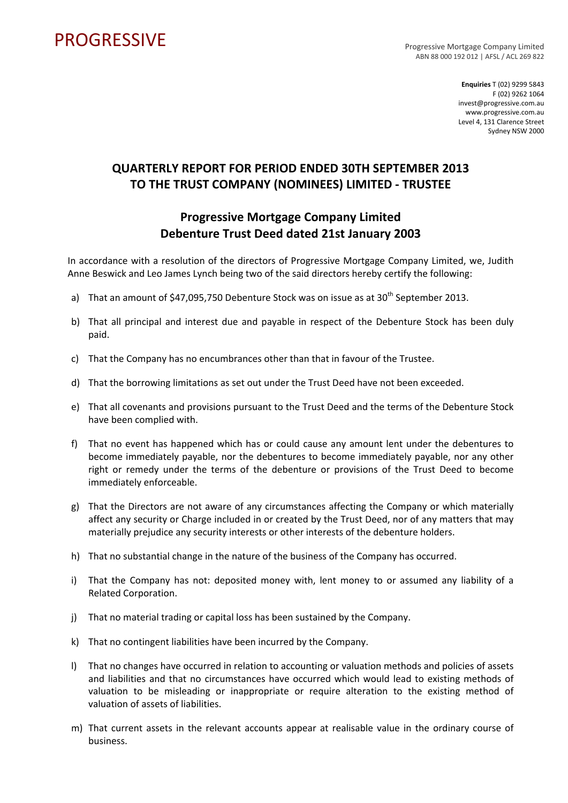## PROGRESSIVE PROGRESSIVE

ABN 88 000 192 012 | AFSL / ACL 269 822

**Enquiries** T (02) 9299 5843 F (02) 9262 1064 invest@progressive.com.au www.progressive.com.au Level 4, 131 Clarence Street Sydney NSW 2000

## **QUARTERLY REPORT FOR PERIOD ENDED 30TH SEPTEMBER 2013 TO THE TRUST COMPANY (NOMINEES) LIMITED ‐ TRUSTEE**

## **Progressive Mortgage Company Limited Debenture Trust Deed dated 21st January 2003**

In accordance with a resolution of the directors of Progressive Mortgage Company Limited, we, Judith Anne Beswick and Leo James Lynch being two of the said directors hereby certify the following:

- a) That an amount of \$47,095,750 Debenture Stock was on issue as at  $30<sup>th</sup>$  September 2013.
- b) That all principal and interest due and payable in respect of the Debenture Stock has been duly paid.
- c) That the Company has no encumbrances other than that in favour of the Trustee.
- d) That the borrowing limitations as set out under the Trust Deed have not been exceeded.
- e) That all covenants and provisions pursuant to the Trust Deed and the terms of the Debenture Stock have been complied with.
- f) That no event has happened which has or could cause any amount lent under the debentures to become immediately payable, nor the debentures to become immediately payable, nor any other right or remedy under the terms of the debenture or provisions of the Trust Deed to become immediately enforceable.
- g) That the Directors are not aware of any circumstances affecting the Company or which materially affect any security or Charge included in or created by the Trust Deed, nor of any matters that may materially prejudice any security interests or other interests of the debenture holders.
- h) That no substantial change in the nature of the business of the Company has occurred.
- i) That the Company has not: deposited money with, lent money to or assumed any liability of a Related Corporation.
- j) That no material trading or capital loss has been sustained by the Company.
- k) That no contingent liabilities have been incurred by the Company.
- l) That no changes have occurred in relation to accounting or valuation methods and policies of assets and liabilities and that no circumstances have occurred which would lead to existing methods of valuation to be misleading or inappropriate or require alteration to the existing method of valuation of assets of liabilities.
- m) That current assets in the relevant accounts appear at realisable value in the ordinary course of business.